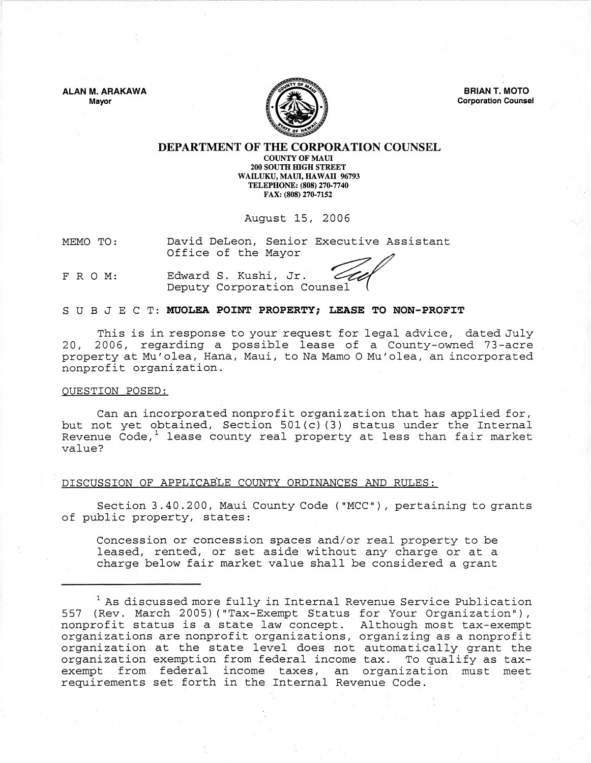**ALAN M. ARAKAWA**  Mayor



**BRIAN T. MOTO**  Corporation Counsel

# **DEPARTMENT OF THE CORPORATION** COUNSEL

COUNTY OF MAUl 200 SOUTH mGH STREET WAILUKU, MAUI, HAWAII 96793 TELEPHONE: (808) 270-7740 FAX: (808) 270·7152

August 15, 2006

MEMO TO: David DeLeon, Senior Executive Assistant August 15, 2006<br>David DeLeon, Senior Executive Assi<br>Office of the Mayor

FRO M: Edward S. Kushi, Jr. Deputy Corporation Counsel

## SUB J E C T: **MUOLEA POiNT PROPERTY; LEASE TO NON-PROFiT**

This is in response to your request for legal advice, dated July 20, 2006, regarding a possible lease of a County-owned 73-acre property at Mu'olea, Hana, Maui, to Na Mamo 0 Mu'olea, an incorporated nonprofit organization.

#### OUESTION POSED:

Can an incorporated nonprofit organization that has applied for, but not yet obtained, Section 501(c) (3) status under the Internal Revenue Code, $^1$  lease county real property at less than fair market value?

## DISCUSSION OF APPLICABLE COUNTY ORDINANCES AND RULES:

Section 3.40.200, Maui County Code ("MCC"), pertaining to grants of public property, states:

Concession or concession spaces and/or real property to be leased, rented, or set aside without any charge or at a charge below fair market value shall be considered a grant

 $1$  As discussed more fully in Internal Revenue Service Publication 557 (Rev. March 2005) ("Tax-Exempt Status for. Your Organization"), nonprofit status is a state law concept. Although most tax-exempt organizations are nonprofit organizations, organizing as a nonprofit organization at the state level does not automatically grant the organization exemption from federal income tax. To qualify as taxexempt from federal income taxes, an organization must meet requirements set forth in the Internal Revenue Code.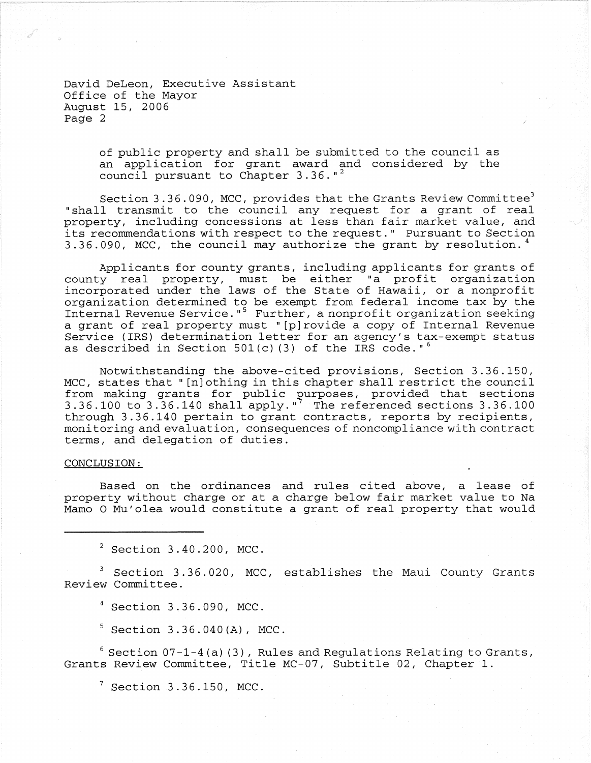David DeLeon, Executive Assistant Office of the Mayor August 15, 2006 Page 2

> of public property and shall be submitted to the council as an application for grant award and considered by the council pursuant to Chapter  $3.36.$ "<sup>2</sup>

Section 3.36.090, MCC, provides that the Grants Review Committee<sup>3</sup> "shall transmit to the council any request for a grant of real property, including concessions at less than fair market value, and its recommendations with respect to the request." Pursuant to Section 3.36.090, MCC, the council may authorize the grant by resolution.<sup>4</sup>

Applicants for county grants, including applicants for grants of county real property, must be either "a profit organization incorporated under the laws of the State of Hawaii, or a nonprofit organization determined to be exempt from federal income tax by the Internal Revenue Service."<sup>5</sup> Further, a nonprofit organization seeking a grant of real property must "[p]rovide a copy of Internal Revenue Service (IRS) determination letter for an agency's tax-exempt status as described in Section 501(c)(3) of the IRS code."<sup>6</sup>

Notwithstanding the above-cited provisions, Section 3.36.150, MCC, states that" [n] othing in this chapter shall restrict the council from making grants for public purposes, provided that sections Elem manility yourselve to partie the particle, provided sections 3.36.100 through 3.36.140 pertain to grant contracts, reports by recipients, monitoring and evaluation, consequences of noncompliance with contract terms, and delegation of duties.

# CONCLUSION:

Based on the ordinances and rules cited above, a lease of property without charge or at a charge below fair market value to Na Mamo 0 Mu'olea would constitute a grant of real property that would

 $2$  Section  $3.40.200$ , MCC.

3 Section 3.36.020, MCC, establishes the Maui County Grants Review Committee.

4 Section 3,36.090, MCC.

 $5$  Section 3.36.040(A), MCC.

 $6$  Section 07-1-4(a)(3), Rules and Regulations Relating to Grants, Grants Review Committee, Title MC-07, Subtitle 02, Chapter 1.

 $7$  Section 3.36.150, MCC.